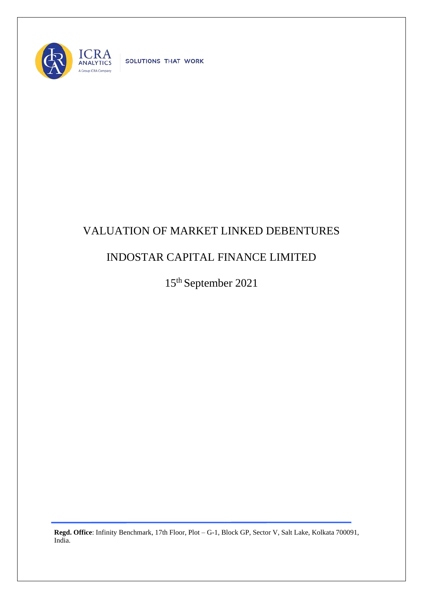

SOLUTIONS THAT WORK

## VALUATION OF MARKET LINKED DEBENTURES

## INDOSTAR CAPITAL FINANCE LIMITED

15th September 2021

**Regd. Office**: Infinity Benchmark, 17th Floor, Plot – G-1, Block GP, Sector V, Salt Lake, Kolkata 700091, India.